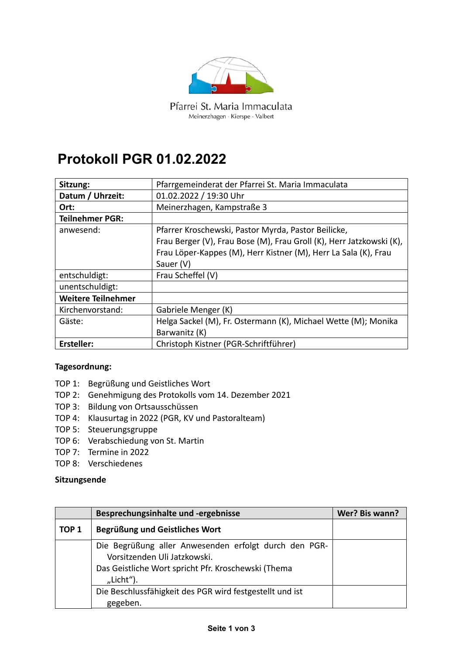

Pfarrei St. Maria Immaculata Meinerzhagen · Kierspe · Valbert

## **Protokoll PGR 01.02.2022**

| Sitzung:                  | Pfarrgemeinderat der Pfarrei St. Maria Immaculata                    |
|---------------------------|----------------------------------------------------------------------|
| Datum / Uhrzeit:          | 01.02.2022 / 19:30 Uhr                                               |
| Ort:                      | Meinerzhagen, Kampstraße 3                                           |
| <b>Teilnehmer PGR:</b>    |                                                                      |
| anwesend:                 | Pfarrer Kroschewski, Pastor Myrda, Pastor Beilicke,                  |
|                           | Frau Berger (V), Frau Bose (M), Frau Groll (K), Herr Jatzkowski (K), |
|                           | Frau Löper-Kappes (M), Herr Kistner (M), Herr La Sala (K), Frau      |
|                           | Sauer (V)                                                            |
| entschuldigt:             | Frau Scheffel (V)                                                    |
| unentschuldigt:           |                                                                      |
| <b>Weitere Teilnehmer</b> |                                                                      |
| Kirchenvorstand:          | Gabriele Menger (K)                                                  |
| Gäste:                    | Helga Sackel (M), Fr. Ostermann (K), Michael Wette (M); Monika       |
|                           | Barwanitz (K)                                                        |
| <b>Ersteller:</b>         | Christoph Kistner (PGR-Schriftführer)                                |

## Tagesordnung:

- TOP 1: Begrüßung und Geistliches Wort
- TOP 2: Genehmigung des Protokolls vom 14. Dezember 2021
- TOP 3: Bildung von Ortsausschüssen
- TOP 4: Klausurtag in 2022 (PGR, KV und Pastoralteam)
- TOP 5: Steuerungsgruppe
- TOP 6: Verabschiedung von St. Martin
- TOP 7: Termine in 2022
- TOP 8: Verschiedenes

## Sitzungsende

|                  | Besprechungsinhalte und -ergebnisse                                                                                                                       | Wer? Bis wann? |
|------------------|-----------------------------------------------------------------------------------------------------------------------------------------------------------|----------------|
| TOP <sub>1</sub> | Begrüßung und Geistliches Wort                                                                                                                            |                |
|                  | Die Begrüßung aller Anwesenden erfolgt durch den PGR-<br>Vorsitzenden Uli Jatzkowski.<br>Das Geistliche Wort spricht Pfr. Kroschewski (Thema<br>"Licht"). |                |
|                  | Die Beschlussfähigkeit des PGR wird festgestellt und ist<br>gegeben.                                                                                      |                |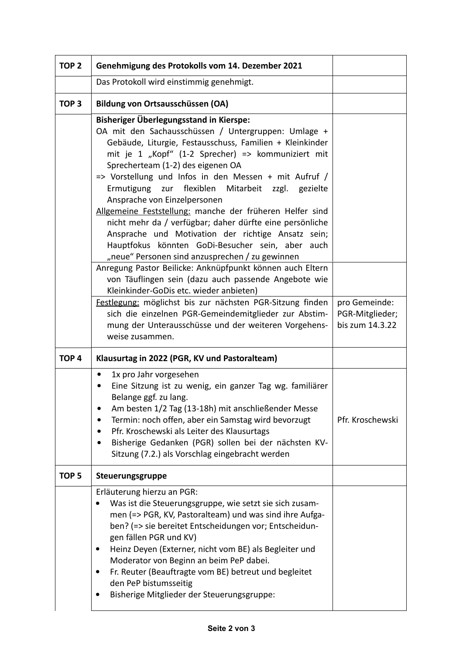| TOP <sub>2</sub> | Genehmigung des Protokolls vom 14. Dezember 2021                                                                                                                                                                                                                                                                                                                                                                                                                                                                                                                                                                                                                                                                                                                |                                                     |
|------------------|-----------------------------------------------------------------------------------------------------------------------------------------------------------------------------------------------------------------------------------------------------------------------------------------------------------------------------------------------------------------------------------------------------------------------------------------------------------------------------------------------------------------------------------------------------------------------------------------------------------------------------------------------------------------------------------------------------------------------------------------------------------------|-----------------------------------------------------|
|                  | Das Protokoll wird einstimmig genehmigt.                                                                                                                                                                                                                                                                                                                                                                                                                                                                                                                                                                                                                                                                                                                        |                                                     |
| TOP <sub>3</sub> | Bildung von Ortsausschüssen (OA)                                                                                                                                                                                                                                                                                                                                                                                                                                                                                                                                                                                                                                                                                                                                |                                                     |
|                  | <b>Bisheriger Überlegungsstand in Kierspe:</b><br>OA mit den Sachausschüssen / Untergruppen: Umlage +<br>Gebäude, Liturgie, Festausschuss, Familien + Kleinkinder<br>mit je 1 "Kopf" (1-2 Sprecher) => kommuniziert mit<br>Sprecherteam (1-2) des eigenen OA<br>=> Vorstellung und Infos in den Messen + mit Aufruf /<br>Mitarbeit zzgl. gezielte<br>Ermutigung zur flexiblen<br>Ansprache von Einzelpersonen<br>Allgemeine Feststellung: manche der früheren Helfer sind<br>nicht mehr da / verfügbar; daher dürfte eine persönliche<br>Ansprache und Motivation der richtige Ansatz sein;<br>Hauptfokus könnten GoDi-Besucher sein, aber auch<br>"neue" Personen sind anzusprechen / zu gewinnen<br>Anregung Pastor Beilicke: Anknüpfpunkt können auch Eltern |                                                     |
|                  | von Täuflingen sein (dazu auch passende Angebote wie<br>Kleinkinder-GoDis etc. wieder anbieten)                                                                                                                                                                                                                                                                                                                                                                                                                                                                                                                                                                                                                                                                 |                                                     |
|                  | Festlegung: möglichst bis zur nächsten PGR-Sitzung finden<br>sich die einzelnen PGR-Gemeindemitglieder zur Abstim-<br>mung der Unterausschüsse und der weiteren Vorgehens-<br>weise zusammen.                                                                                                                                                                                                                                                                                                                                                                                                                                                                                                                                                                   | pro Gemeinde:<br>PGR-Mitglieder;<br>bis zum 14.3.22 |
| TOP <sub>4</sub> | Klausurtag in 2022 (PGR, KV und Pastoralteam)                                                                                                                                                                                                                                                                                                                                                                                                                                                                                                                                                                                                                                                                                                                   |                                                     |
|                  | 1x pro Jahr vorgesehen<br>$\bullet$<br>Eine Sitzung ist zu wenig, ein ganzer Tag wg. familiärer<br>٠<br>Belange ggf. zu lang.<br>Am besten 1/2 Tag (13-18h) mit anschließender Messe<br>٠<br>Termin: noch offen, aber ein Samstag wird bevorzugt<br>Pfr. Kroschewski als Leiter des Klausurtags<br>٠<br>Bisherige Gedanken (PGR) sollen bei der nächsten KV-<br>٠<br>Sitzung (7.2.) als Vorschlag eingebracht werden                                                                                                                                                                                                                                                                                                                                            | Pfr. Kroschewski                                    |
| TOP <sub>5</sub> | Steuerungsgruppe                                                                                                                                                                                                                                                                                                                                                                                                                                                                                                                                                                                                                                                                                                                                                |                                                     |
|                  | Erläuterung hierzu an PGR:<br>Was ist die Steuerungsgruppe, wie setzt sie sich zusam-<br>men (=> PGR, KV, Pastoralteam) und was sind ihre Aufga-<br>ben? (=> sie bereitet Entscheidungen vor; Entscheidun-<br>gen fällen PGR und KV)<br>Heinz Deyen (Externer, nicht vom BE) als Begleiter und<br>٠<br>Moderator von Beginn an beim PeP dabei.<br>Fr. Reuter (Beauftragte vom BE) betreut und begleitet<br>٠<br>den PeP bistumsseitig<br>Bisherige Mitglieder der Steuerungsgruppe:                                                                                                                                                                                                                                                                             |                                                     |